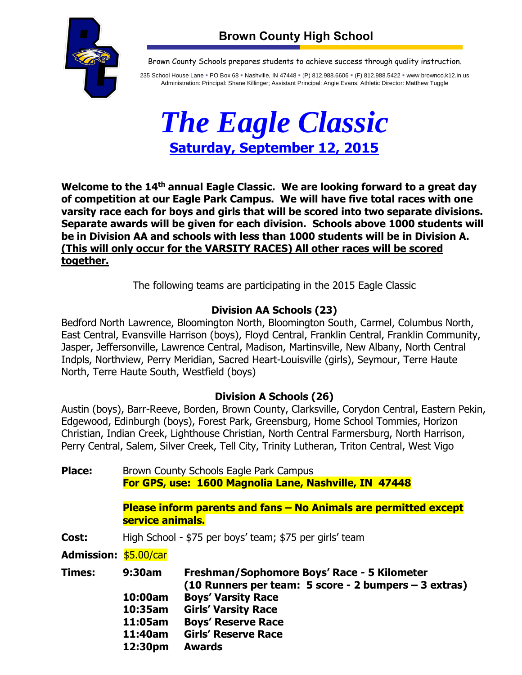



Brown County Schools prepares students to achieve success through quality instruction.

235 School House Lane = PO Box 68 = Nashville, IN 47448 = (P) 812.988.6606 = (F) 812.988.5422 = www.brownco.k12.in.us Administration: Principal: Shane Killinger; Assistant Principal: Angie Evans; Athletic Director: Matthew Tuggle



Welcome to the 14<sup>th</sup> annual Eagle Classic. We are looking forward to a great day **of competition at our Eagle Park Campus. We will have five total races with one varsity race each for boys and girls that will be scored into two separate divisions. Separate awards will be given for each division. Schools above 1000 students will be in Division AA and schools with less than 1000 students will be in Division A. (This will only occur for the VARSITY RACES) All other races will be scored together.** 

The following teams are participating in the 2015 Eagle Classic

## **Division AA Schools (23)**

Bedford North Lawrence, Bloomington North, Bloomington South, Carmel, Columbus North, East Central, Evansville Harrison (boys), Floyd Central, Franklin Central, Franklin Community, Jasper, Jeffersonville, Lawrence Central, Madison, Martinsville, New Albany, North Central Indpls, Northview, Perry Meridian, Sacred Heart-Louisville (girls), Seymour, Terre Haute North, Terre Haute South, Westfield (boys)

## **Division A Schools (26)**

Austin (boys), Barr-Reeve, Borden, Brown County, Clarksville, Corydon Central, Eastern Pekin, Edgewood, Edinburgh (boys), Forest Park, Greensburg, Home School Tommies, Horizon Christian, Indian Creek, Lighthouse Christian, North Central Farmersburg, North Harrison, Perry Central, Salem, Silver Creek, Tell City, Trinity Lutheran, Triton Central, West Vigo

**Place:** Brown County Schools Eagle Park Campus **For GPS, use: 1600 Magnolia Lane, Nashville, IN 47448**

> **Please inform parents and fans – No Animals are permitted except service animals.**

**Cost:** High School - \$75 per boys' team; \$75 per girls' team

**Admission:** \$5.00/car

| <b>Times:</b> | 9:30am  | Freshman/Sophomore Boys' Race - 5 Kilometer<br>$(10$ Runners per team: 5 score - 2 bumpers $-$ 3 extras) |
|---------------|---------|----------------------------------------------------------------------------------------------------------|
|               | 10:00am | <b>Boys' Varsity Race</b>                                                                                |
|               | 10:35am | <b>Girls' Varsity Race</b>                                                                               |
|               | 11:05am | <b>Boys' Reserve Race</b>                                                                                |
|               | 11:40am | <b>Girls' Reserve Race</b>                                                                               |
|               | 12:30pm | <b>Awards</b>                                                                                            |